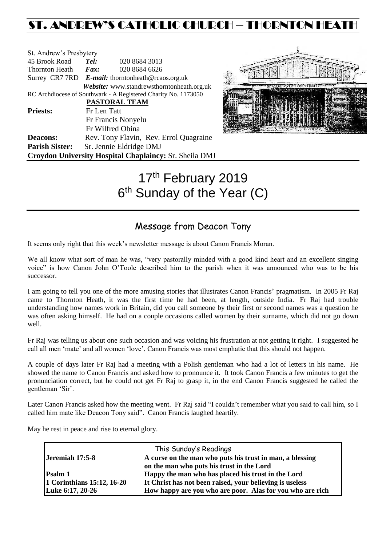## ST. ANDREW'S CATHOLIC CHURCH – THORNTON HEAT

| St. Andrew's Presbytery                                        |                                                   |                                            |  |  |
|----------------------------------------------------------------|---------------------------------------------------|--------------------------------------------|--|--|
| 45 Brook Road                                                  | Tel:                                              | 020 8684 3013                              |  |  |
| Thornton Heath                                                 | $\boldsymbol{F}$ <i>ax</i> :                      | 020 8684 6626                              |  |  |
|                                                                | Surrey CR7 7RD E-mail: thorntonheath@rcaos.org.uk |                                            |  |  |
|                                                                |                                                   | Website: www.standrewsthorntonheath.org.uk |  |  |
| RC Archdiocese of Southwark - A Registered Charity No. 1173050 |                                                   |                                            |  |  |
|                                                                |                                                   | <b>PASTORAL TEAM</b>                       |  |  |
| <b>Priests:</b>                                                | Fr Len Tatt                                       |                                            |  |  |
|                                                                |                                                   | Fr Francis Nonyelu                         |  |  |
|                                                                |                                                   | Fr Wilfred Obina                           |  |  |
| <b>Deacons:</b>                                                |                                                   | Rev. Tony Flavin, Rev. Errol Quagraine     |  |  |
| <b>Parish Sister:</b>                                          |                                                   | Sr. Jennie Eldridge DMJ                    |  |  |
| Croydon University Hospital Chaplaincy: Sr. Sheila DMJ         |                                                   |                                            |  |  |



# 17<sup>th</sup> February 2019 6<sup>th</sup> Sunday of the Year (C)

## Message from Deacon Tony

It seems only right that this week's newsletter message is about Canon Francis Moran.

We all know what sort of man he was, "very pastorally minded with a good kind heart and an excellent singing voice" is how Canon John O'Toole described him to the parish when it was announced who was to be his successor.

I am going to tell you one of the more amusing stories that illustrates Canon Francis' pragmatism. In 2005 Fr Raj came to Thornton Heath, it was the first time he had been, at length, outside India. Fr Raj had trouble understanding how names work in Britain, did you call someone by their first or second names was a question he was often asking himself. He had on a couple occasions called women by their surname, which did not go down well.

Fr Raj was telling us about one such occasion and was voicing his frustration at not getting it right. I suggested he call all men 'mate' and all women 'love', Canon Francis was most emphatic that this should not happen.

A couple of days later Fr Raj had a meeting with a Polish gentleman who had a lot of letters in his name. He showed the name to Canon Francis and asked how to pronounce it. It took Canon Francis a few minutes to get the pronunciation correct, but he could not get Fr Raj to grasp it, in the end Canon Francis suggested he called the gentleman 'Sir'.

Later Canon Francis asked how the meeting went. Fr Raj said "I couldn't remember what you said to call him, so I called him mate like Deacon Tony said". Canon Francis laughed heartily.

May he rest in peace and rise to eternal glory.

|                            | This Sunday's Readings                                    |
|----------------------------|-----------------------------------------------------------|
| Jeremiah 17:5-8            | A curse on the man who puts his trust in man, a blessing  |
|                            | on the man who puts his trust in the Lord                 |
| <b>Psalm 1</b>             | Happy the man who has placed his trust in the Lord        |
| 1 Corinthians 15:12, 16-20 | It Christ has not been raised, your believing is useless  |
| Luke 6:17, 20-26           | How happy are you who are poor. Alas for you who are rich |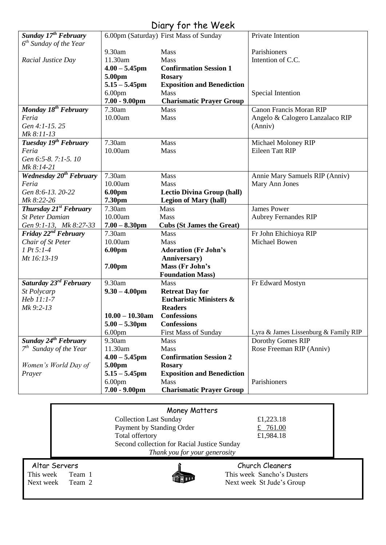## Diary for the Week

|                                     |                    | 1911101100000                                                |                                      |
|-------------------------------------|--------------------|--------------------------------------------------------------|--------------------------------------|
| Sunday 17 <sup>th</sup> February    |                    | 6.00pm (Saturday) First Mass of Sunday                       | Private Intention                    |
| $6th$ Sunday of the Year            |                    |                                                              |                                      |
|                                     | 9.30am             | Mass                                                         | Parishioners                         |
| Racial Justice Day                  | 11.30am            | Mass                                                         | Intention of C.C.                    |
|                                     | $4.00 - 5.45$ pm   | <b>Confirmation Session 1</b>                                |                                      |
|                                     | 5.00pm             | <b>Rosary</b>                                                |                                      |
|                                     | $5.15 - 5.45$ pm   | <b>Exposition and Benediction</b>                            |                                      |
|                                     | 6.00 <sub>pm</sub> | <b>Mass</b>                                                  | Special Intention                    |
|                                     | $7.00 - 9.00$ pm   | <b>Charismatic Prayer Group</b>                              |                                      |
| Monday 18 <sup>th</sup> February    | 7.30am             | Mass                                                         | <b>Canon Francis Moran RIP</b>       |
| Feria                               | 10.00am            | Mass                                                         | Angelo & Calogero Lanzalaco RIP      |
| Gen 4:1-15.25                       |                    |                                                              | (Anniv)                              |
| Mk 8:11-13                          |                    |                                                              |                                      |
| Tuesday 19 <sup>th</sup> February   | 7.30am             | Mass                                                         | Michael Moloney RIP                  |
| Feria                               | 10.00am            | Mass                                                         | <b>Eileen Tatt RIP</b>               |
| Gen 6:5-8. 7:1-5. 10                |                    |                                                              |                                      |
| Mk 8:14-21                          |                    |                                                              |                                      |
| Wednesday 20 <sup>th</sup> February | 7.30am             | Mass                                                         | Annie Mary Samuels RIP (Anniv)       |
| Feria                               | 10.00am            | Mass                                                         | Mary Ann Jones                       |
| Gen 8:6-13. 20-22                   | 6.00pm             | <b>Lectio Divina Group (hall)</b>                            |                                      |
| Mk 8:22-26                          | 7.30pm             | <b>Legion of Mary (hall)</b>                                 |                                      |
| Thursday 21 <sup>st</sup> February  | 7.30am             | Mass                                                         | <b>James Power</b>                   |
| <b>St Peter Damian</b>              | 10.00am            | Mass                                                         | <b>Aubrey Fernandes RIP</b>          |
| Gen 9:1-13, Mk 8:27-33              | $7.00 - 8.30$ pm   | <b>Cubs (St James the Great)</b>                             |                                      |
| Friday 22 <sup>nd</sup> February    | 7.30am             | Mass                                                         | Fr John Ehichioya RIP                |
| Chair of St Peter                   | 10.00am            | Mass                                                         | Michael Bowen                        |
| $1 Pt 5:1-4$                        |                    |                                                              |                                      |
|                                     | 6.00pm             | <b>Adoration (Fr John's</b>                                  |                                      |
| Mt 16:13-19                         |                    | Anniversary)                                                 |                                      |
|                                     | 7.00 <sub>pm</sub> | Mass (Fr John's                                              |                                      |
| Saturday 23rd February              | 9.30am             | <b>Foundation Mass)</b>                                      |                                      |
|                                     |                    | Mass                                                         | Fr Edward Mostyn                     |
| St Polycarp                         | $9.30 - 4.00$ pm   | <b>Retreat Day for</b><br><b>Eucharistic Ministers &amp;</b> |                                      |
| Heb 11:1-7                          |                    |                                                              |                                      |
| Mk 9:2-13                           |                    | <b>Readers</b>                                               |                                      |
|                                     | $10.00 - 10.30$ am | <b>Confessions</b>                                           |                                      |
|                                     | $5.00 - 5.30$ pm   | <b>Confessions</b>                                           |                                      |
|                                     | 6.00 <sub>pm</sub> | <b>First Mass of Sunday</b>                                  | Lyra & James Lissenburg & Family RIP |
| Sunday 24 <sup>th</sup> February    | 9.30am             | Mass                                                         | Dorothy Gomes RIP                    |
| $7th$ Sunday of the Year            | 11.30am            | Mass                                                         | Rose Freeman RIP (Anniv)             |
|                                     | $4.00 - 5.45$ pm   | <b>Confirmation Session 2</b>                                |                                      |
| Women's World Day of                | 5.00pm             | <b>Rosary</b>                                                |                                      |
| Prayer                              | $5.15 - 5.45$ pm   | <b>Exposition and Benediction</b>                            |                                      |
|                                     | 6.00 <sub>pm</sub> | Mass                                                         | Parishioners                         |
|                                     | $7.00 - 9.00$ pm   | <b>Charismatic Prayer Group</b>                              |                                      |

### Money Matters

Collection Last Sunday  $\begin{array}{r} \text{£}1,223.18 \\ \text{Payment by Standing Order} \end{array}$   $\begin{array}{r} \text{£}1,223.18 \\ \text{£}761.00 \end{array}$ Payment by Standing Order Total offertory  $£1,984.18$ Second collection for Racial Justice Sunday *Thank you for your generosity*



Altar Servers **Church Cleaners Church Cleaners** This week Team 1 This week Sancho's Dusters<br>
Next week St Jude's Group Next week St Jude's Group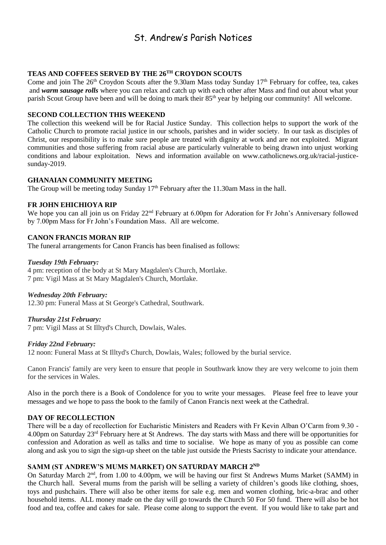## St. Andrew's Parish Notices

#### **TEAS AND COFFEES SERVED BY THE 26TH CROYDON SCOUTS**

Come and join The 26<sup>th</sup> Croydon Scouts after the 9.30am Mass today Sunday 17<sup>th</sup> February for coffee, tea, cakes and *warm sausage rolls* where you can relax and catch up with each other after Mass and find out about what your parish Scout Group have been and will be doing to mark their 85<sup>th</sup> year by helping our community! All welcome.

#### **SECOND COLLECTION THIS WEEKEND**

The collection this weekend will be for Racial Justice Sunday. This collection helps to support the work of the Catholic Church to promote racial justice in our schools, parishes and in wider society. In our task as disciples of Christ, our responsibility is to make sure people are treated with dignity at work and are not exploited. Migrant communities and those suffering from racial abuse are particularly vulnerable to being drawn into unjust working conditions and labour exploitation. News and information available on [www.catholicnews.org.uk/racial-justice](http://www.catholicnews.org.uk/racial-justice-sunday-2019)[sunday-2019.](http://www.catholicnews.org.uk/racial-justice-sunday-2019)

#### **GHANAIAN COMMUNITY MEETING**

The Group will be meeting today Sunday  $17<sup>th</sup>$  February after the 11.30am Mass in the hall.

#### **FR JOHN EHICHIOYA RIP**

We hope you can all join us on Friday 22<sup>nd</sup> February at 6.00pm for Adoration for Fr John's Anniversary followed by 7.00pm Mass for Fr John's Foundation Mass. All are welcome.

#### **CANON FRANCIS MORAN RIP**

The funeral arrangements for Canon Francis has been finalised as follows:

#### *Tuesday 19th February:*

4 pm: reception of the body at St Mary Magdalen's Church, Mortlake. 7 pm: Vigil Mass at St Mary Magdalen's Church, Mortlake.

#### *Wednesday 20th February:*

12.30 pm: Funeral Mass at St George's Cathedral, Southwark.

#### *Thursday 21st February:*

7 pm: Vigil Mass at St Illtyd's Church, Dowlais, Wales.

#### *Friday 22nd February:*

12 noon: Funeral Mass at St Illtyd's Church, Dowlais, Wales; followed by the burial service.

Canon Francis' family are very keen to ensure that people in Southwark know they are very welcome to join them for the services in Wales.

Also in the porch there is a Book of Condolence for you to write your messages. Please feel free to leave your messages and we hope to pass the book to the family of Canon Francis next week at the Cathedral.

#### **DAY OF RECOLLECTION**

There will be a day of recollection for Eucharistic Ministers and Readers with Fr Kevin Alban O'Carm from 9.30 - 4.00pm on Saturday 23rd February here at St Andrews. The day starts with Mass and there will be opportunities for confession and Adoration as well as talks and time to socialise. We hope as many of you as possible can come along and ask you to sign the sign-up sheet on the table just outside the Priests Sacristy to indicate your attendance.

#### **SAMM (ST ANDREW'S MUMS MARKET) ON SATURDAY MARCH 2ND**

On Saturday March 2<sup>nd</sup>, from 1.00 to 4.00pm, we will be having our first St Andrews Mums Market (SAMM) in the Church hall. Several mums from the parish will be selling a variety of children's goods like clothing, shoes, toys and pushchairs. There will also be other items for sale e.g. men and women clothing, bric-a-brac and other household items. ALL money made on the day will go towards the Church 50 For 50 fund. There will also be hot food and tea, coffee and cakes for sale. Please come along to support the event. If you would like to take part and